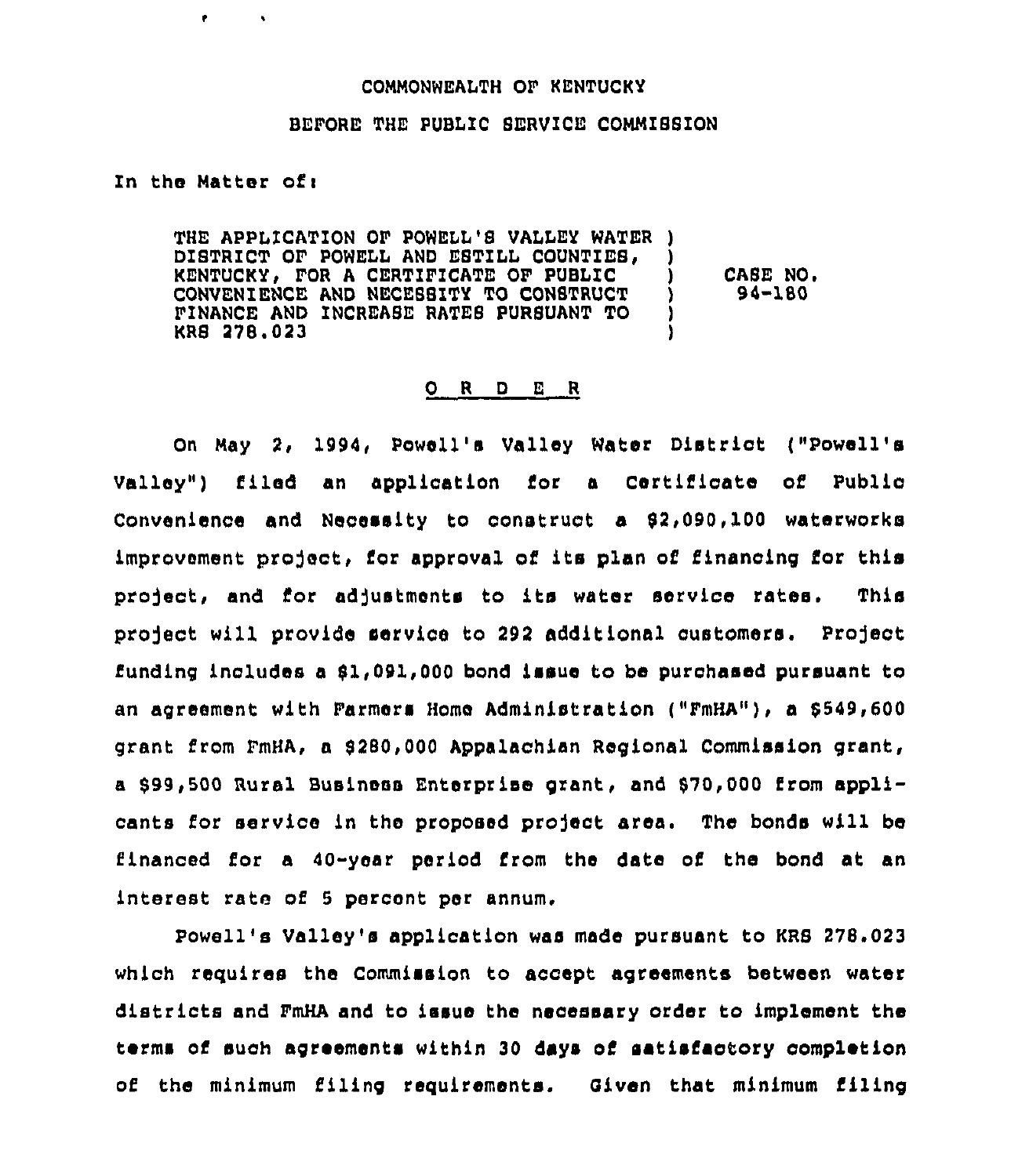## COMMONWEALTH OF KENTUCKY

#### BEFORE THE PUBLIC SERVICE COMMISSION

### In the Matter ofi

 $\bullet$ 

 $\mathbf{A}$ 

THE APPLICATION OF POWELL'S VALLEY WATER )<br>DISTRICT OF POWELL AND ESTILL COUNTIES. DISTRICT OF POWELL AND ESTILL COUNTIES, )<br>KENTUCKY. FOR A CERTIFICATE OF PUBLIC KENTUCKY, FOR A CERTIFICATE OF PUBLIC )<br>CONVENIENCE AND NECESSITY TO CONSTRUCT ) CONVENIENCE AND NECESSITY TO CONSTRUCT )<br>FINANCE AND INCREASE RATES PURSUANT TO ) FINANCE AND INCREASE RATES PURSUANT TO ) KRB 278.023 ) CASE NO. 94-180

#### 0 <sup>R</sup> <sup>D</sup> <sup>E</sup> R

On May 2, 1994, Powell's Valley Water District ("Powell's Valley" ) filed an application for a Certificate of Public Convenience and Necessity to construct a 92,090, 100 waterworks improvement project, for approval of its plan of financing for this project, and for adjustments to its water service rates. This project will provide service to 292 additional customers. Project funding includes a 91,091,000 bond issue to be purchased pursuant to an agreement with Farmers Homo Administration ("FmHA"), a 9549,600 grant from 1"mHA, a 9280,000 Appalachian Regional Commission grant, a 999,500 Rural Business Enterprise grant, and 970,000 from applicants for service in the proposed project area. The bonds will be financed for a  $40 - y$ ear period from the date of the bond at an interest rate of <sup>5</sup> percent per annum,

Powell's Valley's application was made pursuant to KRS 278.023 which requires the Commission to accept agreements between water districts and FmHA and to issue the necessary order to implement the terms of such agreements within 30 days of satisfaotory completion of the minimum filing requirements. Given that minimum filing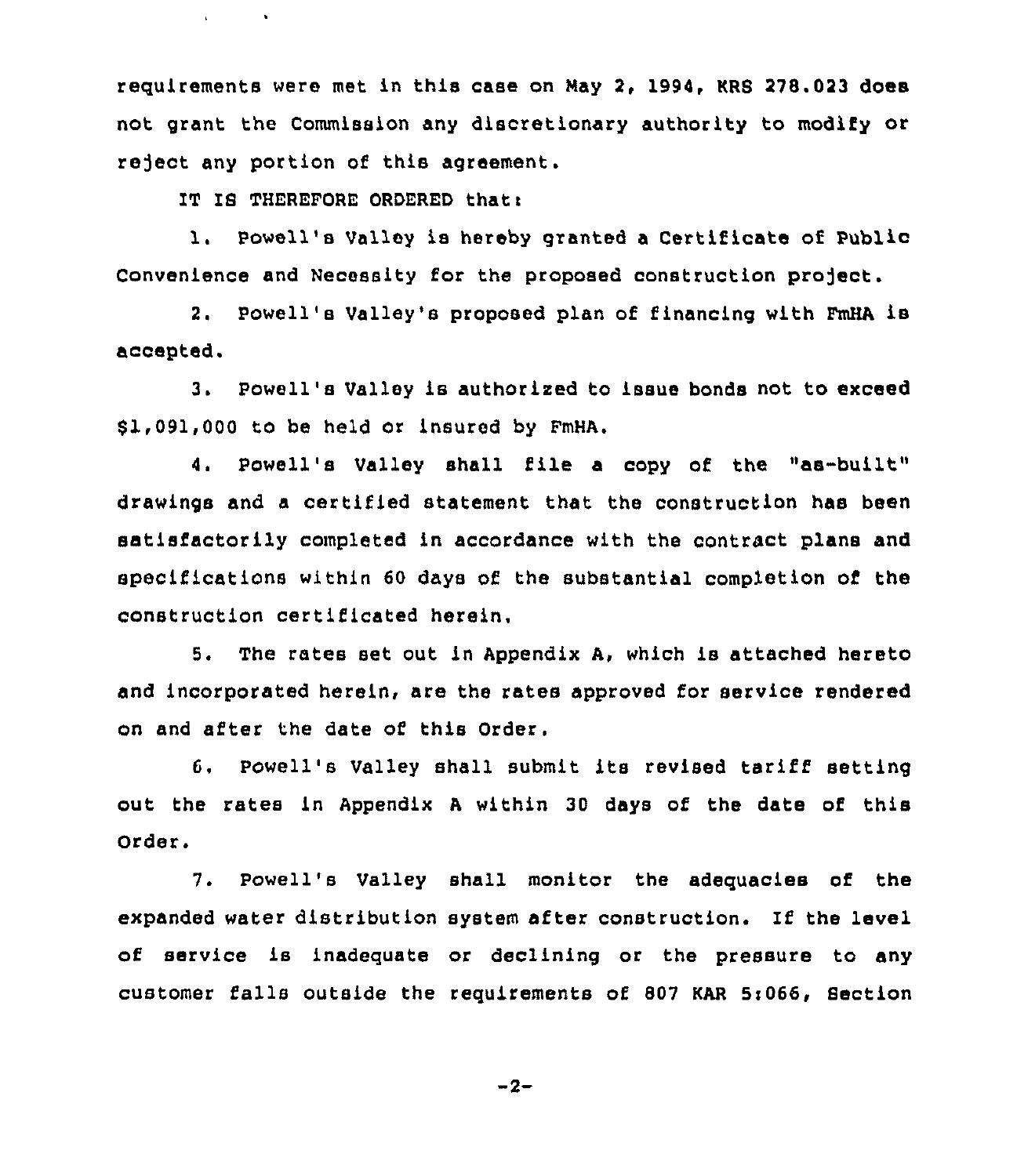regui rements were met in this case on May 2, 1994, KRS 278. 023 does not grant the Commission any discretionary authority to modify or reject any portion of this agreement.

IT IS THEREFORE ORDERED that:

**All Controllers** 

1. Powell's Valley is hereby granted a Certificate of Public Convenience and Necessity for the proposed construction project.

2. Powell's Valley's proposed plan of financing with FmHA is accepted,

3. Powell's Valley is authorized to issue bonds not to exceed 81,091,000 to be held or insured by FmHA.

4. Powell's Valley shall file a copy of the "as-built" drawings and a certified statement that the construction has been satisfactorily completed in accordance with the contract plans and specifications within 60 days of the substantial completion of the construction certificated herein.

5. The rates set out in Appendix A, which is attached hereto and incorporated herein, are the rates approved for service rendered on and after the date of this Order.

6. Powell's Valley shall submit its revised tariff setting out the rates in Appendix <sup>A</sup> within 30 days of the date of this Order.

7. Powell's Valley shall monitor the adeguacies of the expanded water distribution system after construotion. If the level of service is inadeguate or declining or the pressure to any customer falls outside the requirements of 807 KAR Si066, Section

 $-2-$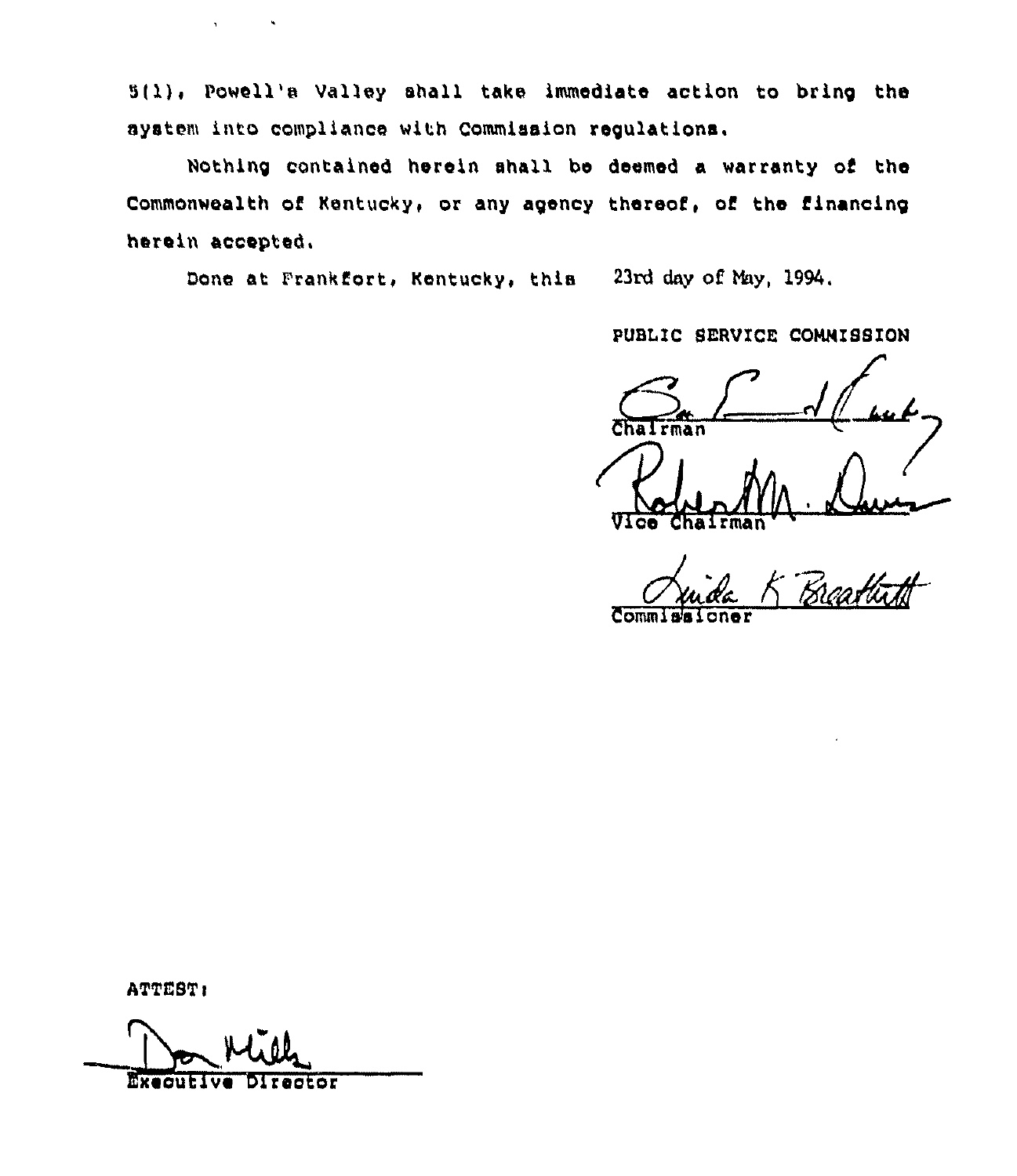5(1), Powell's Valley shall take immediate action to bring the ayatem into compliance with Commission regulations.

Nothing contained herein shall be deemed a warranty of the Commonwealth of Kentucky, or any agency thereof, of the financing herein accepted.

Done at Frankfort, Kentucky, this 23rd day of May, 1994.

PUBLIC SERVICE COMMISSION

rman

ATTEST:

Executive Director

 $\mathbf{v} = \mathbf{v} \times \mathbf{v}$